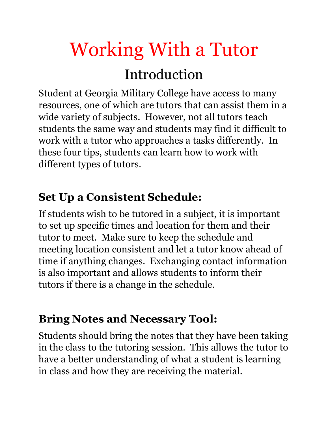# Working With a Tutor

## Introduction

Student at Georgia Military College have access to many resources, one of which are tutors that can assist them in a wide variety of subjects. However, not all tutors teach students the same way and students may find it difficult to work with a tutor who approaches a tasks differently. In these four tips, students can learn how to work with different types of tutors.

#### **Set Up a Consistent Schedule:**

If students wish to be tutored in a subject, it is important to set up specific times and location for them and their tutor to meet. Make sure to keep the schedule and meeting location consistent and let a tutor know ahead of time if anything changes. Exchanging contact information is also important and allows students to inform their tutors if there is a change in the schedule.

### **Bring Notes and Necessary Tool:**

Students should bring the notes that they have been taking in the class to the tutoring session. This allows the tutor to have a better understanding of what a student is learning in class and how they are receiving the material.